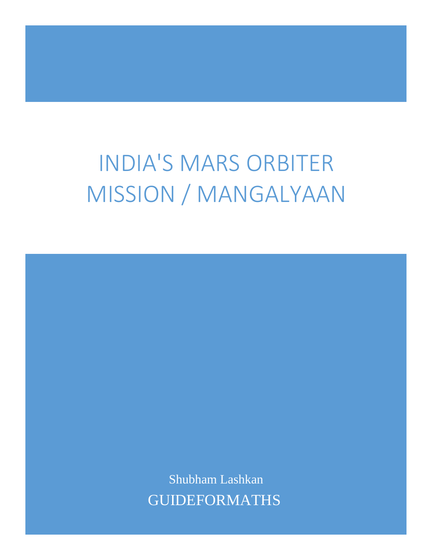## INDIA'S MARS ORBITER MISSION / MANGALYAAN

Shubham Lashkan GUIDEFORMATHS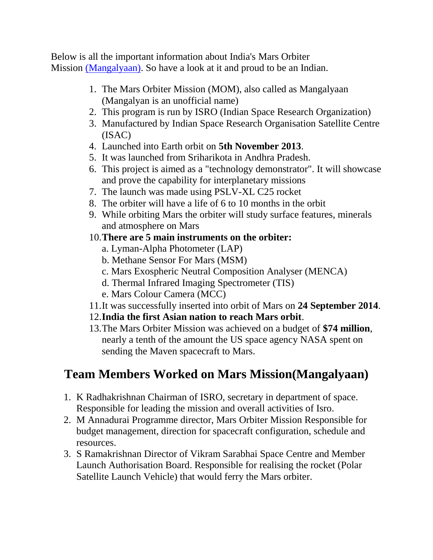Below is all the important information about India's Mars Orbiter Mission [\(Mangalyaan\).](https://en.wikipedia.org/wiki/Mars_Orbiter_Mission) So have a look at it and proud to be an Indian.

- 1. The Mars Orbiter Mission (MOM), also called as Mangalyaan (Mangalyan is an unofficial name)
- 2. This program is run by ISRO (Indian Space Research Organization)
- 3. Manufactured by Indian Space Research Organisation Satellite Centre (ISAC)
- 4. Launched into Earth orbit on **5th November 2013**.
- 5. It was launched from Sriharikota in Andhra Pradesh.
- 6. This project is aimed as a "technology demonstrator". It will showcase and prove the capability for interplanetary missions
- 7. The launch was made using PSLV-XL C25 rocket
- 8. The orbiter will have a life of 6 to 10 months in the orbit
- 9. While orbiting Mars the orbiter will study surface features, minerals and atmosphere on Mars
- 10.**There are 5 main instruments on the orbiter:**
	- a. Lyman-Alpha Photometer (LAP)
	- b. Methane Sensor For Mars (MSM)
	- c. Mars Exospheric Neutral Composition Analyser (MENCA)
	- d. Thermal Infrared Imaging Spectrometer (TIS)
	- e. Mars Colour Camera (MCC)
- 11.It was successfully inserted into orbit of Mars on **24 September 2014**.

## 12.**India the first Asian nation to reach Mars orbit**.

13.The Mars Orbiter Mission was achieved on a budget of **\$74 million**, nearly a tenth of the amount the US space agency NASA spent on sending the Maven spacecraft to Mars.

## **Team Members Worked on Mars Mission(Mangalyaan)**

- 1. K Radhakrishnan Chairman of ISRO, secretary in department of space. Responsible for leading the mission and overall activities of Isro.
- 2. M Annadurai Programme director, Mars Orbiter Mission Responsible for budget management, direction for spacecraft configuration, schedule and resources.
- 3. S Ramakrishnan Director of Vikram Sarabhai Space Centre and Member Launch Authorisation Board. Responsible for realising the rocket (Polar Satellite Launch Vehicle) that would ferry the Mars orbiter.